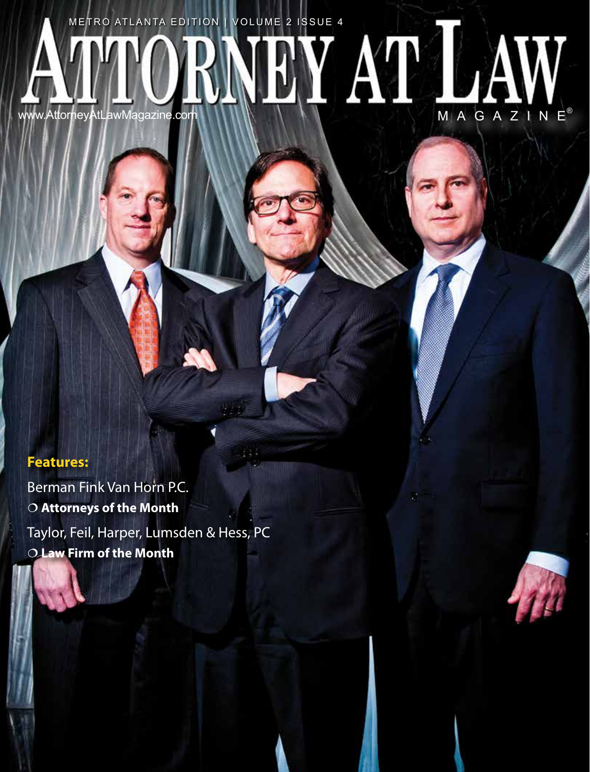# ATTORNEY AT LAW METRO ATLANTA EDITION | VOLUME 2 ISSUE 4

## **Features:**

Berman Fink Van Horn P.C. **Attorneys of the Month** Taylor, Feil, Harper, Lumsden & Hess, PC **Law Firm of the Month**

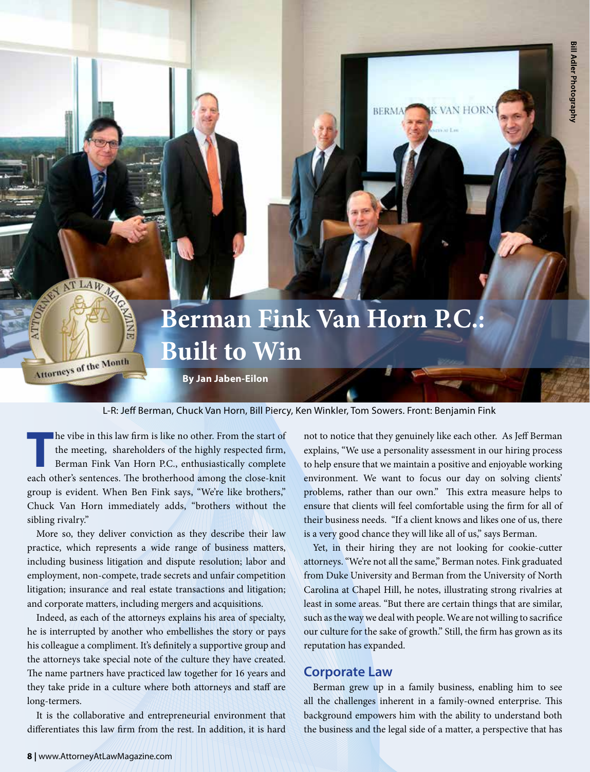# **Berman Fink Van Horn P.C.: Built to Win**

**By Jan Jaben-Eilon**

#### L-R: Jeff Berman, Chuck Van Horn, Bill Piercy, Ken Winkler, Tom Sowers. Front: Benjamin Fink

The vibe in this law firm is like no other. From the start of the meeting, shareholders of the highly respected firm, Berman Fink Van Horn P.C., enthusiastically complete the meeting, shareholders of the highly respected firm, each other's sentences. The brotherhood among the close-knit group is evident. When Ben Fink says, "We're like brothers," Chuck Van Horn immediately adds, "brothers without the sibling rivalry."

More so, they deliver conviction as they describe their law practice, which represents a wide range of business matters, including business litigation and dispute resolution; labor and employment, non-compete, trade secrets and unfair competition litigation; insurance and real estate transactions and litigation; and corporate matters, including mergers and acquisitions.

Indeed, as each of the attorneys explains his area of specialty, he is interrupted by another who embellishes the story or pays his colleague a compliment. It's definitely a supportive group and the attorneys take special note of the culture they have created. The name partners have practiced law together for 16 years and they take pride in a culture where both attorneys and staff are long-termers.

It is the collaborative and entrepreneurial environment that differentiates this law firm from the rest. In addition, it is hard

not to notice that they genuinely like each other. As Jeff Berman explains, "We use a personality assessment in our hiring process to help ensure that we maintain a positive and enjoyable working environment. We want to focus our day on solving clients' problems, rather than our own." This extra measure helps to ensure that clients will feel comfortable using the firm for all of their business needs. "If a client knows and likes one of us, there is a very good chance they will like all of us," says Berman.

Yet, in their hiring they are not looking for cookie-cutter attorneys. "We're not all the same," Berman notes. Fink graduated from Duke University and Berman from the University of North Carolina at Chapel Hill, he notes, illustrating strong rivalries at least in some areas. "But there are certain things that are similar, such as the way we deal with people. We are not willing to sacrifice our culture for the sake of growth." Still, the firm has grown as its reputation has expanded.

#### **Corporate Law**

Berman grew up in a family business, enabling him to see all the challenges inherent in a family-owned enterprise. This background empowers him with the ability to understand both the business and the legal side of a matter, a perspective that has

AT LAW M

Morneys of the Month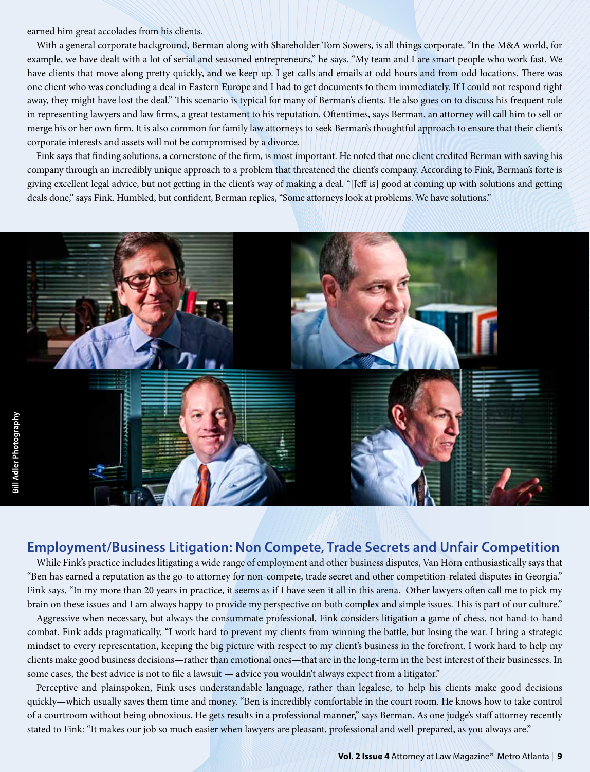earned him great accolades from his clients.

With a general corporate background, Berman along with Shareholder Tom Sowers, is all things corporate. "In the M&A world, for example, we have dealt with a lot of serial and seasoned entrepreneurs," he says. "My team and I are smart people who work fast. We have clients that move along pretty quickly, and we keep up. I get calls and emails at odd hours and from odd locations. There was one client who was concluding a deal in Eastern Europe and I had to get documents to them immediately. If I could not respond right away, they might have lost the deal." This scenario is typical for many of Berman's clients. He also goes on to discuss his frequent role in representing lawyers and law firms, a great testament to his reputation. Oftentimes, says Berman, an attorney will call him to sell or merge his or her own firm. It is also common for family law attorneys to seek Berman's thoughtful approach to ensure that their client's corporate interests and assets will not be compromised by a divorce.

Fink says that finding solutions, a cornerstone of the firm, is most important. He noted that one client credited Berman with saving his company through an incredibly unique approach to a problem that threatened the client's company. According to Fink, Berman's forte is giving excellent legal advice, but not getting in the client's way of making a deal. "[Jeff is] good at coming up with solutions and getting deals done," says Fink. Humbled, but confident, Berman replies, "Some attorneys look at problems. We have solutions."



#### **Employment/Business Litigation: Non Compete, Trade Secrets and Unfair Competition**

While Fink's practice includes litigating a wide range of employment and other business disputes, Van Horn enthusiastically says that "Ben has earned a reputation as the go-to attorney for non-compete, trade secret and other competition-related disputes in Georgia." Fink says, "In my more than 20 years in practice, it seems as if I have seen it all in this arena. Other lawyers often call me to pick my brain on these issues and I am always happy to provide my perspective on both complex and simple issues. This is part of our culture."

Aggressive when necessary, but always the consummate professional, Fink considers litigation a game of chess, not hand-to-hand combat. Fink adds pragmatically, "I work hard to prevent my clients from winning the battle, but losing the war. I bring a strategic mindset to every representation, keeping the big picture with respect to my client's business in the forefront. I work hard to help my clients make good business decisions—rather than emotional ones—that are in the long-term in the best interest of their businesses. In some cases, the best advice is not to file a lawsuit — advice you wouldn't always expect from a litigator."

Perceptive and plainspoken, Fink uses understandable language, rather than legalese, to help his clients make good decisions quickly—which usually saves them time and money. "Ben is incredibly comfortable in the court room. He knows how to take control of a courtroom without being obnoxious. He gets results in a professional manner," says Berman. As one judge's staff attorney recently stated to Fink: "It makes our job so much easier when lawyers are pleasant, professional and well-prepared, as you always are."